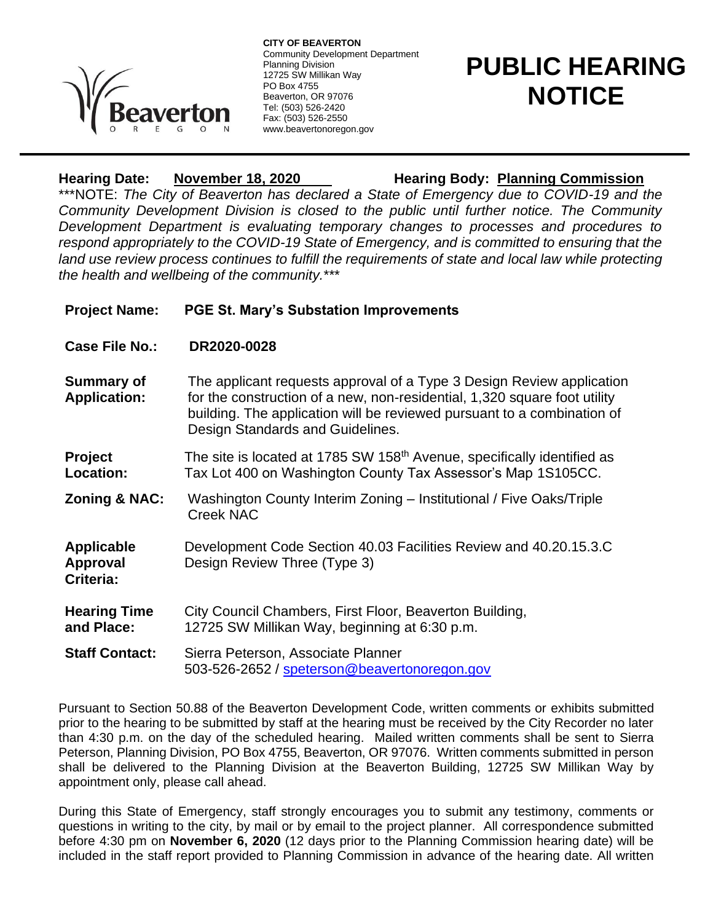

**CITY OF BEAVERTON** Community Development Department Planning Division 12725 SW Millikan Way PO Box 4755 Beaverton, OR 97076 Tel: (503) 526-2420 Fax: (503) 526-2550 www.beavertonoregon.gov

# **PUBLIC HEARING NOTICE**

## **Hearing Date:** November 18, 2020 Hearing Body: Planning Commission

\*\*\*NOTE: *The City of Beaverton has declared a State of Emergency due to COVID-19 and the Community Development Division is closed to the public until further notice. The Community Development Department is evaluating temporary changes to processes and procedures to respond appropriately to the COVID-19 State of Emergency, and is committed to ensuring that the land use review process continues to fulfill the requirements of state and local law while protecting the health and wellbeing of the community.*\*\*\*

# **Project Name: PGE St. Mary's Substation Improvements**

- **Case File No.: DR2020-0028**
- **Summary of Application:** The applicant requests approval of a Type 3 Design Review application for the construction of a new, non-residential, 1,320 square foot utility building. The application will be reviewed pursuant to a combination of Design Standards and Guidelines.
- **Project Location:** The site is located at 1785 SW 158<sup>th</sup> Avenue, specifically identified as Tax Lot 400 on Washington County Tax Assessor's Map 1S105CC.
- **Zoning & NAC:** Washington County Interim Zoning Institutional / Five Oaks/Triple Creek NAC
- **Applicable Approval Criteria:** Development Code Section 40.03 Facilities Review and 40.20.15.3.C Design Review Three (Type 3)
- **Hearing Time and Place:** City Council Chambers, First Floor, Beaverton Building, 12725 SW Millikan Way, beginning at 6:30 p.m.
- **Staff Contact:** Sierra Peterson, Associate Planner 503-526-2652 / [speterson@beavertonoregon.gov](mailto:speterson@beavertonoregon.gov)

Pursuant to Section 50.88 of the Beaverton Development Code, written comments or exhibits submitted prior to the hearing to be submitted by staff at the hearing must be received by the City Recorder no later than 4:30 p.m. on the day of the scheduled hearing. Mailed written comments shall be sent to Sierra Peterson, Planning Division, PO Box 4755, Beaverton, OR 97076. Written comments submitted in person shall be delivered to the Planning Division at the Beaverton Building, 12725 SW Millikan Way by appointment only, please call ahead.

During this State of Emergency, staff strongly encourages you to submit any testimony, comments or questions in writing to the city, by mail or by email to the project planner. All correspondence submitted before 4:30 pm on **November 6, 2020** (12 days prior to the Planning Commission hearing date) will be included in the staff report provided to Planning Commission in advance of the hearing date. All written